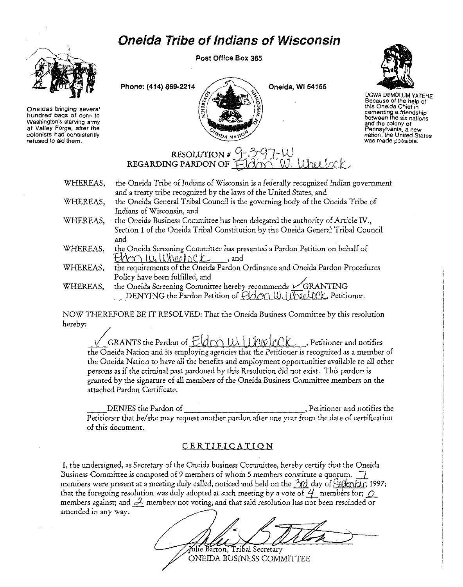## Oneida Tribe of Indians of Wisconsin



Oneidas bringing several hundred bags of corn to Washington's starving army at Valley Forge, after the colonists had consistently refused to aid them.

Post Office Box 365

Phone: (414) 869-2214  $\angle$   $\angle$ 



UGWA DEMOLUM YATEHE Because of the help of this Oneida Chief in cementing a friendship between the six nations and the colony of Pennsylvania, a new nation, the United States was made possible.

## RESOLUTION  $#$   $REGARDING PARDON OF ElGON W. Whul (CCC)$

O<sub>4</sub> NAT

| WHEREAS, | the Oneida Tribe of Indians of Wisconsin is a federally recognized Indian government |
|----------|--------------------------------------------------------------------------------------|
|          | and a treaty tribe recognized by the laws of the United States, and                  |
| WHEREAS, | the Oneida General Tribal Council is the governing body of the Oneida Tribe of       |
|          | Indians of Wisconsin, and                                                            |
| WHEREAS, | the Oneida Business Committee has been delegated the authority of Article IV.,       |
|          | Section 1 of the Oneida Tribal Constitution by the Oneida General Tribal Council     |
|          | and                                                                                  |

- WHEREAS, the Oneida Screening Committee has presented a Pardon Petition on behalf of  $Edm \cup \cup \cup \cup \cup \cup \cup \cup \cup$ , and
- WHEREAS, the requirements of the *Oneida* Pardon Ordinance and Oneida Pardon Procedures Policy have been fulfilled, and /
- WHEREAS, the Oneida Screening Committee hereby recommends  $\sqrt{GRAMTING}$ DENYING the Pardon Petition of  $\overleftrightarrow{H}$  OM  $\overleftrightarrow{W}$  II. I JNIel COK, Petitioner.

NOW THEREFORE BE IT RESOLVED: That the Oneida Business Committee by this resolution hereby:

GRANTS the Pardon of <u>E(d ON W. WheelcCK,</u> Petitioner and notifies the Oneida Nation and its employing agencies that the Petitioner is recognized as a member of the Oneida Nation to have all the benefits and employment opportunities available to all other persons as if the criminal past pardoned by this Resolution did not exist. This pardon is granted by the signature of *all* members of the Oneida Business Committee members on the attached Pardon Certificate.

DENIES the Pardon of , Petitioner and notifies the Petitioner that he/ she may request another pardon after one year from the date of certification of this document.

## CERTIFICATION

I, the undersigned, as Secretary of the Oneida business Committee, hereby certify that the Oneida Business Committee is composed of 9 members of whom 5 members constitute a quorum.  $\overline{7}$ members were present at a meeting duly called, noticed and held on the  $3rd$  day of  $\frac{1}{2}$  day  $\frac{1}{997}$ ; that the foregoing resolution was duly adopted at such meeting by a vote of  $\frac{1}{2}$  members for; *Q* members against; and  $\mathcal{L}$  members not voting; and that said resolution has not been rescinded or amended in any way.

Julie Barton, Tribal Secretary ONEIDA BUSINESS COMMITTEE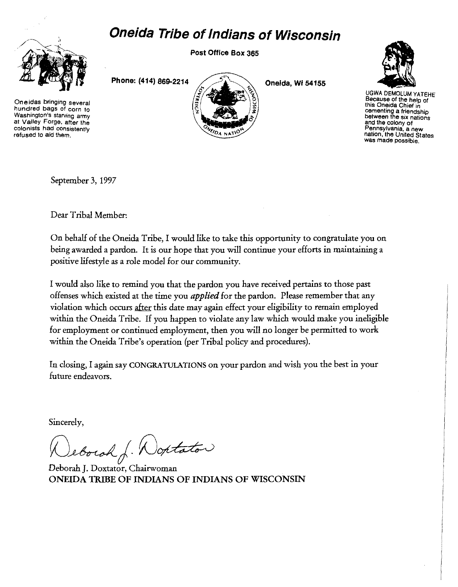## **Oneida Tribe of Indians of Wisconsin**



**Oneidas bringing several hundred bags of corn to Washington's starving army at Valley Forge, after the colonists had consistently refused to aid them.** 

Post Office Box 365

Phone: (414) 869-2214

Oneida, Wi 54155



UGWA DEMOLUM YATEHE **Because of the help of this Oneida Chief in cementing a friendship between the six nations and the colony of Pennsylvania, a new nation, the United States was made possible.** 

September 3, 1997

Dear Tribal Member:

On behalf of the Oneida Tribe, I would like to take this opportunity to congratulate you on being awarded a pardon. It is our hope that you will continue your efforts in maintaining a positive lifestyle as a role model for our community.

I would also like to remind you that the pardon you have received pertains to those past offenses which existed at the time you *applied* for the pardon. Please remember that any violation which occurs after this date may again effect your eligibility to remain employed within the Oneida Tribe. If you happen to violate any law which would make you ineligible for employment or continued employment, then you will no longer be permitted to work within the Oneida Tribe's operation (per Tribal policy and procedures).

In closing, I again say CONGRATULATIONS on your pardon and wish you the best in your future endeavors.

Sincerely,

Jeborah J. Wontator

Deborah J. Doxtator, Chairwoman ONEIDA TRIBE OF INDIANS OF INDIANS OF WISCONSIN